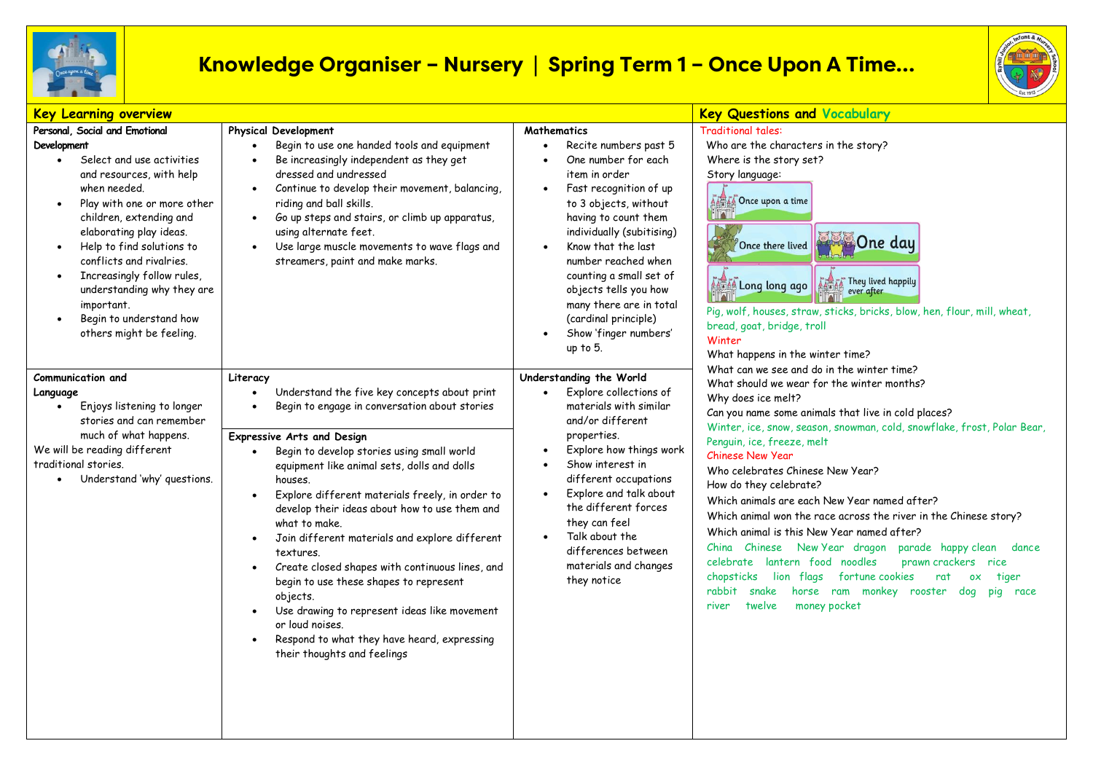

## **Knowledge Organiser – Nursery | Spring Term 1 – Once Upon A Time…**



| <b>Key Learning overview</b>                                                                                                                                                                                                                                                                                                                                                                                                                 |                                                                                                                                                                                                                                                                                                                                                                                                                                                                                                                                                                                                                                                                                                                                                                                    |                                                                                                                                                                                                                                                                                                                                                                                      | <b>Key Questions and Vocabulary</b>                                                                                                                                                                                                                                                                                                                                                                                                                                                                                                                                                                                                                                                                                                                                                                                                                                                                                                                                                                                                                                                                                                                                                                                             |
|----------------------------------------------------------------------------------------------------------------------------------------------------------------------------------------------------------------------------------------------------------------------------------------------------------------------------------------------------------------------------------------------------------------------------------------------|------------------------------------------------------------------------------------------------------------------------------------------------------------------------------------------------------------------------------------------------------------------------------------------------------------------------------------------------------------------------------------------------------------------------------------------------------------------------------------------------------------------------------------------------------------------------------------------------------------------------------------------------------------------------------------------------------------------------------------------------------------------------------------|--------------------------------------------------------------------------------------------------------------------------------------------------------------------------------------------------------------------------------------------------------------------------------------------------------------------------------------------------------------------------------------|---------------------------------------------------------------------------------------------------------------------------------------------------------------------------------------------------------------------------------------------------------------------------------------------------------------------------------------------------------------------------------------------------------------------------------------------------------------------------------------------------------------------------------------------------------------------------------------------------------------------------------------------------------------------------------------------------------------------------------------------------------------------------------------------------------------------------------------------------------------------------------------------------------------------------------------------------------------------------------------------------------------------------------------------------------------------------------------------------------------------------------------------------------------------------------------------------------------------------------|
| Personal, Social and Emotional<br>Development<br>Select and use activities<br>and resources, with help<br>when needed.<br>Play with one or more other<br>$\bullet$<br>children, extending and<br>elaborating play ideas.<br>Help to find solutions to<br>$\bullet$<br>conflicts and rivalries.<br>Increasingly follow rules,<br>understanding why they are<br>important.<br>Begin to understand how<br>$\bullet$<br>others might be feeling. | <b>Physical Development</b><br>Begin to use one handed tools and equipment<br>Be increasingly independent as they get<br>dressed and undressed<br>Continue to develop their movement, balancing,<br>$\bullet$<br>riding and ball skills.<br>Go up steps and stairs, or climb up apparatus,<br>$\bullet$<br>using alternate feet.<br>Use large muscle movements to wave flags and<br>$\bullet$<br>streamers, paint and make marks.                                                                                                                                                                                                                                                                                                                                                  | <b>Mathematics</b><br>Recite numbers past 5<br>One number for each<br>item in order<br>Fast recognition of up<br>to 3 objects, without<br>having to count them<br>individually (subitising)<br>Know that the last<br>number reached when<br>counting a small set of<br>objects tells you how<br>many there are in total<br>(cardinal principle)<br>Show 'finger numbers'<br>up to 5. | <b>Traditional tales:</b><br>Who are the characters in the story?<br>Where is the story set?<br>Story language:<br><b>ALL CONCE upon a time</b><br><b>One day</b><br>Once there lived<br>They lived happily<br>And Long long ago<br>Pig, wolf, houses, straw, sticks, bricks, blow, hen, flour, mill, wheat,<br>bread, goat, bridge, troll<br>Winter<br>What happens in the winter time?<br>What can we see and do in the winter time?<br>What should we wear for the winter months?<br>Why does ice melt?<br>Can you name some animals that live in cold places?<br>Winter, ice, snow, season, snowman, cold, snowflake, frost, Polar Bear,<br>Penguin, ice, freeze, melt<br><b>Chinese New Year</b><br>Who celebrates Chinese New Year?<br>How do they celebrate?<br>Which animals are each New Year named after?<br>Which animal won the race across the river in the Chinese story?<br>Which animal is this New Year named after?<br>China Chinese New Year dragon parade happy clean<br>dance<br>celebrate lantern food noodles<br>prawn crackers rice<br>chopsticks lion flags fortune cookies<br>rat<br>0X<br>tiger<br>snake<br>horse ram monkey rooster dog<br>rabbit<br>pig<br>race<br>money pocket<br>twelve<br>river |
| Communication and<br>Language<br>Enjoys listening to longer<br>stories and can remember<br>much of what happens.<br>We will be reading different<br>traditional stories.<br>Understand 'why' questions.                                                                                                                                                                                                                                      | Literacy<br>Understand the five key concepts about print<br>$\bullet$<br>Begin to engage in conversation about stories<br><b>Expressive Arts and Design</b><br>Begin to develop stories using small world<br>equipment like animal sets, dolls and dolls<br>houses.<br>Explore different materials freely, in order to<br>$\bullet$<br>develop their ideas about how to use them and<br>what to make.<br>Join different materials and explore different<br>$\bullet$<br>textures.<br>Create closed shapes with continuous lines, and<br>$\bullet$<br>begin to use these shapes to represent<br>objects.<br>Use drawing to represent ideas like movement<br>$\bullet$<br>or loud noises.<br>Respond to what they have heard, expressing<br>$\bullet$<br>their thoughts and feelings | Understanding the World<br>Explore collections of<br>materials with similar<br>and/or different<br>properties.<br>Explore how things work<br>Show interest in<br>$\bullet$<br>different occupations<br>Explore and talk about<br>the different forces<br>they can feel<br>Talk about the<br>$\bullet$<br>differences between<br>materials and changes<br>they notice                 |                                                                                                                                                                                                                                                                                                                                                                                                                                                                                                                                                                                                                                                                                                                                                                                                                                                                                                                                                                                                                                                                                                                                                                                                                                 |